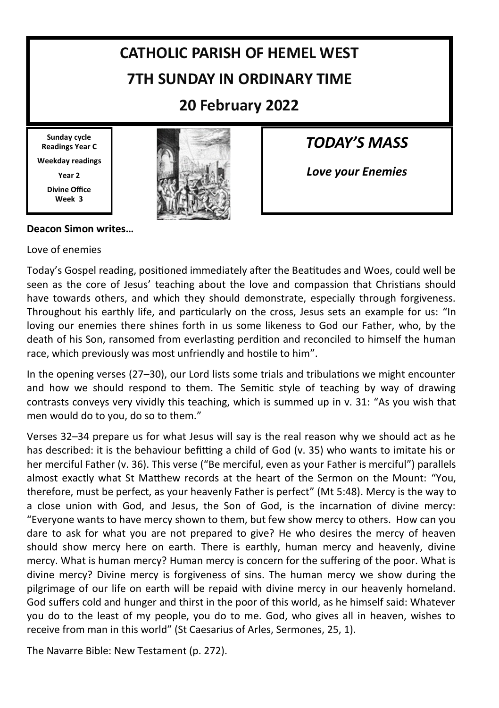# **CATHOLIC PARISH OF HEMEL WEST 7TH SUNDAY IN ORDINARY TIME**

### **20 February 2022**

**Sunday cycle Readings Year C Weekday readings Year 2 Divine Office**

**Week 3**



*TODAY'S MASS*

*Love your Enemies*

#### **Deacon Simon writes…**

Love of enemies

Today's Gospel reading, positioned immediately after the Beatitudes and Woes, could well be seen as the core of Jesus' teaching about the love and compassion that Christians should have towards others, and which they should demonstrate, especially through forgiveness. Throughout his earthly life, and particularly on the cross, Jesus sets an example for us: "In loving our enemies there shines forth in us some likeness to God our Father, who, by the death of his Son, ransomed from everlasting perdition and reconciled to himself the human race, which previously was most unfriendly and hostile to him".

In the opening verses (27–30), our Lord lists some trials and tribulations we might encounter and how we should respond to them. The Semitic style of teaching by way of drawing contrasts conveys very vividly this teaching, which is summed up in v. 31: "As you wish that men would do to you, do so to them."

Verses 32–34 prepare us for what Jesus will say is the real reason why we should act as he has described: it is the behaviour befitting a child of God (v. 35) who wants to imitate his or her merciful Father (v. 36). This verse ("Be merciful, even as your Father is merciful") parallels almost exactly what St Matthew records at the heart of the Sermon on the Mount: "You, therefore, must be perfect, as your heavenly Father is perfect" (Mt 5:48). Mercy is the way to a close union with God, and Jesus, the Son of God, is the incarnation of divine mercy: "Everyone wants to have mercy shown to them, but few show mercy to others. How can you dare to ask for what you are not prepared to give? He who desires the mercy of heaven should show mercy here on earth. There is earthly, human mercy and heavenly, divine mercy. What is human mercy? Human mercy is concern for the suffering of the poor. What is divine mercy? Divine mercy is forgiveness of sins. The human mercy we show during the pilgrimage of our life on earth will be repaid with divine mercy in our heavenly homeland. God suffers cold and hunger and thirst in the poor of this world, as he himself said: Whatever you do to the least of my people, you do to me. God, who gives all in heaven, wishes to receive from man in this world" (St Caesarius of Arles, Sermones, 25, 1).

The Navarre Bible: New Testament (p. 272).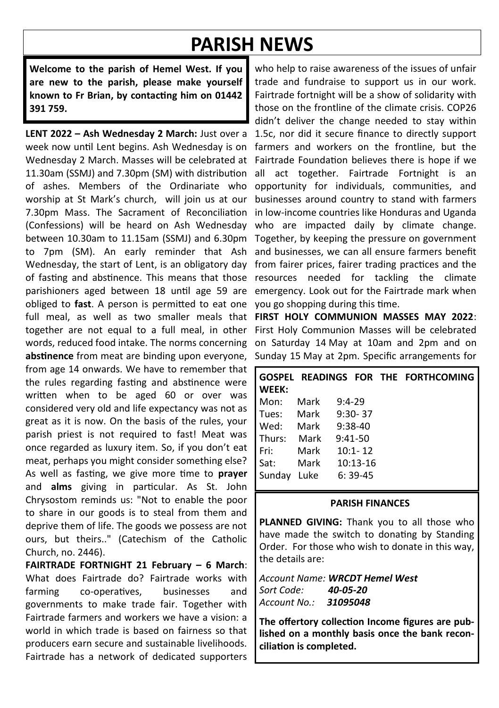## **PARISH NEWS**

**Welcome to the parish of Hemel West. If you are new to the parish, please make yourself known to Fr Brian, by contacting him on 01442 391 759.**

**LENT 2022 – Ash Wednesday 2 March:** Just over a week now until Lent begins. Ash Wednesday is on Wednesday 2 March. Masses will be celebrated at 11.30am (SSMJ) and 7.30pm (SM) with distribution of ashes. Members of the Ordinariate who worship at St Mark's church, will join us at our 7.30pm Mass. The Sacrament of Reconciliation (Confessions) will be heard on Ash Wednesday between 10.30am to 11.15am (SSMI) and 6.30pm to 7pm (SM). An early reminder that Ash Wednesday, the start of Lent, is an obligatory day of fasting and abstinence. This means that those parishioners aged between 18 until age 59 are obliged to **fast**. A person is permitted to eat one full meal, as well as two smaller meals that **FIRST HOLY COMMUNION MASSES MAY 2022**: together are not equal to a full meal, in other words, reduced food intake. The norms concerning on Saturday 14 May at 10am and 2pm and on abstinence from meat are binding upon everyone, Sunday 15 May at 2pm. Specific arrangements for from age 14 onwards. We have to remember that the rules regarding fasting and abstinence were written when to be aged 60 or over was considered very old and life expectancy was not as great as it is now. On the basis of the rules, your parish priest is not required to fast! Meat was once regarded as luxury item. So, if you don't eat meat, perhaps you might consider something else? As well as fasting, we give more time to **prayer** and **alms** giving in particular. As St. John Chrysostom reminds us: "Not to enable the poor to share in our goods is to steal from them and deprive them of life. The goods we possess are not ours, but theirs.." (Catechism of the Catholic Church, no. 2446).

**FAIRTRADE FORTNIGHT 21 February – 6 March**: What does Fairtrade do? Fairtrade works with farming co-operatives, businesses and governments to make trade fair. Together with Fairtrade farmers and workers we have a vision: a world in which trade is based on fairness so that producers earn secure and sustainable livelihoods. Fairtrade has a network of dedicated supporters

who help to raise awareness of the issues of unfair trade and fundraise to support us in our work. Fairtrade fortnight will be a show of solidarity with those on the frontline of the climate crisis. COP26 didn't deliver the change needed to stay within 1.5c, nor did it secure finance to directly support farmers and workers on the frontline, but the Fairtrade Foundation believes there is hope if we all act together. Fairtrade Fortnight is an opportunity for individuals, communities, and businesses around country to stand with farmers in low-income countries like Honduras and Uganda who are impacted daily by climate change. Together, by keeping the pressure on government and businesses, we can all ensure farmers benefit from fairer prices, fairer trading practices and the resources needed for tackling the climate emergency. Look out for the Fairtrade mark when you go shopping during this time.

First Holy Communion Masses will be celebrated

| <b>WEEK:</b> |      |          |             | GOSPEL READINGS FOR THE FORTHCOMING |
|--------------|------|----------|-------------|-------------------------------------|
| Mon:         | Mark | $9:4-29$ |             |                                     |
| Tues:        | Mark |          | $9:30 - 37$ |                                     |
| Wed:         | Mark |          | $9:38-40$   |                                     |
| Thurs:       | Mark |          | $9:41-50$   |                                     |
| Fri:         | Mark |          | $10:1 - 12$ |                                     |
| Sat:         | Mark |          | $10:13-16$  |                                     |
| Sunday       | Luke |          | $6:39-45$   |                                     |

#### **PARISH FINANCES**

**PLANNED GIVING:** Thank you to all those who have made the switch to donating by Standing Order. For those who wish to donate in this way, the details are:

*Account Name: WRCDT Hemel West Sort Code: 40-05-20 Account No.: 31095048*

**The offertory collection Income figures are published on a monthly basis once the bank reconciliation is completed.**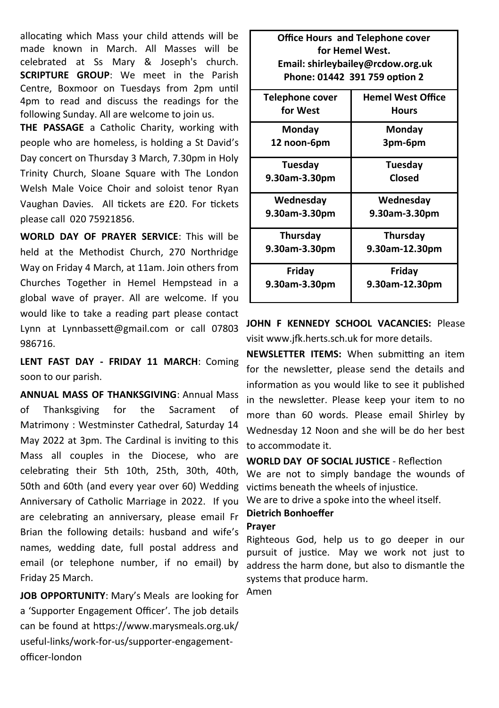allocating which Mass your child attends will be made known in March. All Masses will be celebrated at Ss Mary & Joseph's church. **SCRIPTURE GROUP**: We meet in the Parish Centre, Boxmoor on Tuesdays from 2pm until 4pm to read and discuss the readings for the following Sunday. All are welcome to join us.

**THE PASSAGE** a Catholic Charity, working with people who are homeless, is holding a St David's Day concert on Thursday 3 March, 7.30pm in Holy Trinity Church, Sloane Square with The London Welsh Male Voice Choir and soloist tenor Ryan Vaughan Davies. All tickets are £20. For tickets please call 020 75921856.

**WORLD DAY OF PRAYER SERVICE**: This will be held at the Methodist Church, 270 Northridge Way on Friday 4 March, at 11am. Join others from Churches Together in Hemel Hempstead in a global wave of prayer. All are welcome. If you would like to take a reading part please contact Lynn at Lynnbassett@gmail.com or call 07803 986716.

**LENT FAST DAY - FRIDAY 11 MARCH**: Coming soon to our parish.

**ANNUAL MASS OF THANKSGIVING**: Annual Mass of Thanksgiving for the Sacrament of Matrimony : Westminster Cathedral, Saturday 14 May 2022 at 3pm. The Cardinal is inviting to this Mass all couples in the Diocese, who are celebrating their 5th 10th, 25th, 30th, 40th, 50th and 60th (and every year over 60) Wedding Anniversary of Catholic Marriage in 2022. If you are celebrating an anniversary, please email Fr Brian the following details: husband and wife's names, wedding date, full postal address and email (or telephone number, if no email) by Friday 25 March.

**JOB OPPORTUNITY**: Mary's Meals are looking for a 'Supporter Engagement Officer'. The job details can be found at https://www.marysmeals.org.uk/ useful-links/work-for-us/supporter-engagementofficer-london

| Office Hours and releptione cover |  |  |  |  |  |  |
|-----------------------------------|--|--|--|--|--|--|
| for Hemel West.                   |  |  |  |  |  |  |
| Email: shirleybailey@rcdow.org.uk |  |  |  |  |  |  |
| Phone: 01442 391 759 option 2     |  |  |  |  |  |  |
| <b>Hemel West Office</b>          |  |  |  |  |  |  |
| <b>Hours</b>                      |  |  |  |  |  |  |
| Monday                            |  |  |  |  |  |  |
| 3pm-6pm                           |  |  |  |  |  |  |
| Tuesday                           |  |  |  |  |  |  |
| Closed                            |  |  |  |  |  |  |
| Wednesday                         |  |  |  |  |  |  |
| 9.30am-3.30pm                     |  |  |  |  |  |  |
| <b>Thursday</b>                   |  |  |  |  |  |  |
| 9.30am-12.30pm                    |  |  |  |  |  |  |
| Friday                            |  |  |  |  |  |  |
| 9.30am-12.30pm                    |  |  |  |  |  |  |
|                                   |  |  |  |  |  |  |

**Office Hours and Telephone cover** 

**JOHN F KENNEDY SCHOOL VACANCIES:** Please visit www.jfk.herts.sch.uk for more details.

**NEWSLETTER ITEMS:** When submitting an item for the newsletter, please send the details and information as you would like to see it published in the newsletter. Please keep your item to no more than 60 words. Please email Shirley by Wednesday 12 Noon and she will be do her best to accommodate it.

**WORLD DAY OF SOCIAL JUSTICE** - Reflection We are not to simply bandage the wounds of victims beneath the wheels of injustice.

We are to drive a spoke into the wheel itself.

#### **Dietrich Bonhoeffer**

#### **Prayer**

Righteous God, help us to go deeper in our pursuit of justice. May we work not just to address the harm done, but also to dismantle the systems that produce harm.

Amen